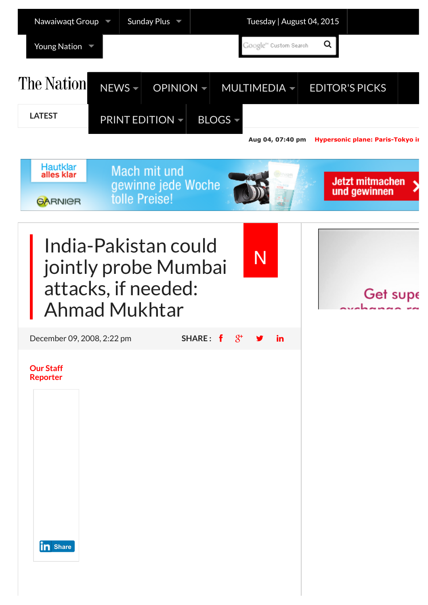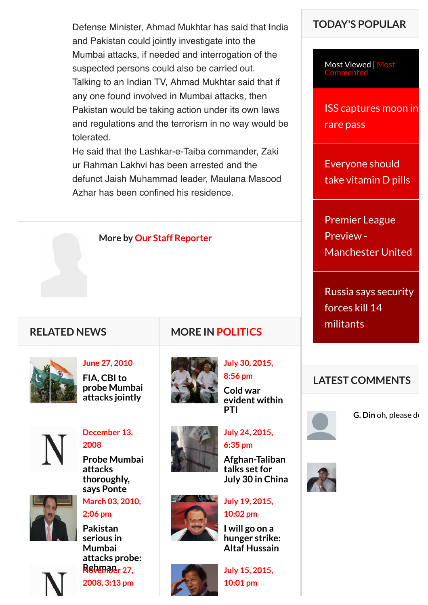Defense Minister, Ahmad Mukhtar has said that India and Pakistan could jointly investigate into the Mumbai attacks, if needed and interrogation of the suspected persons could also be carried out. Talking to an Indian TV, Ahmad Mukhtar said that if any one found involved in Mumbai attacks, then Pakistan would be taking action under its own laws and regulations and the terrorism in no way would be tolerated.

He said that the Lashkar-e-Taiba commander, Zaki ur Rahman Lakhvi has been arrested and the defunct Jaish Muhammad leader, Maulana Masood Azhar has been confined his residence.

**More by [Our Staff Reporter](http://nation.com.pk/Reporter/our-staff-reporter)**

### **RELATED NEWS**



| <b>June 27, 2010</b> |
|----------------------|
| FIA, CBI to          |
| probe Mumbai         |
| attacks jointly      |



**[December 13,](http://nation.com.pk/politics/13-Dec-2008/Probe-Mumbai-attacks-thoroughly-says-Ponte) 2008**

**[Probe Mumbai](http://nation.com.pk/politics/13-Dec-2008/Probe-Mumbai-attacks-thoroughly-says-Ponte) attacks thoroughly, says Ponte**



**[March 03, 2010,](http://nation.com.pk/islamabad/03-Mar-2010/Pakistan-serious-in-Mumbai-attacks-probe-Rehman) 2:06 pm**

**Pakistan serious in Mumbai [attacks probe:](http://nation.com.pk/islamabad/03-Mar-2010/Pakistan-serious-in-Mumbai-attacks-probe-Rehman) Rehman November 27, [2008, 3:13 pm](http://nation.com.pk/international/27-Nov-2008/Britain-offers-help-for-Mumbai-attacks-probe)**

# **MORE IN [POLITICS](http://nation.com.pk/politics)**



**[July 30, 2015,](http://nation.com.pk/politics/30-Jul-2015/cold-war-evident-within-pti) 8:56 pm**

**Cold war [evident within](http://nation.com.pk/politics/30-Jul-2015/cold-war-evident-within-pti) PTI**



**6:35 pm Afghan-Taliban talks set for**

**[July 24, 2015,](http://nation.com.pk/politics/24-Jul-2015/afghan-taliban-talks-set-for-july-30-in-china)**



**[July 19, 2015,](http://nation.com.pk/politics/19-Jul-2015/i-will-go-on-a-hunger-strike-altaf-hussain) 10:02 pm**

**I will go on a [hunger strike:](http://nation.com.pk/politics/19-Jul-2015/i-will-go-on-a-hunger-strike-altaf-hussain) Altaf Hussain**



**[July 15, 2015,](http://nation.com.pk/politics/15-Jul-2015/pti-mqm-clash-demands-trials-firs) 10:01 pm**

## **TODAY'S POPULAR**

[Most Viewed | Most](javascript:void(0)) **Commented** 

[ISS captures moon in](http://nation.com.pk/snippets/04-Aug-2015/iss-captures-moon-in-rare-pass) rare pass

Everyone should [take vitamin D pills](http://nation.com.pk/snippets/04-Aug-2015/everyone-should-take-vitamin-d-pills)

Premier League Preview - [Manchester United](http://nation.com.pk/sports/04-Aug-2015/premier-league-preview-manchester-united)

[Russia says security](http://nation.com.pk/international/04-Aug-2015/russia-says-security-forces-kill-14-militants) forces kill 14 militants

### **LATEST COMMENTS**



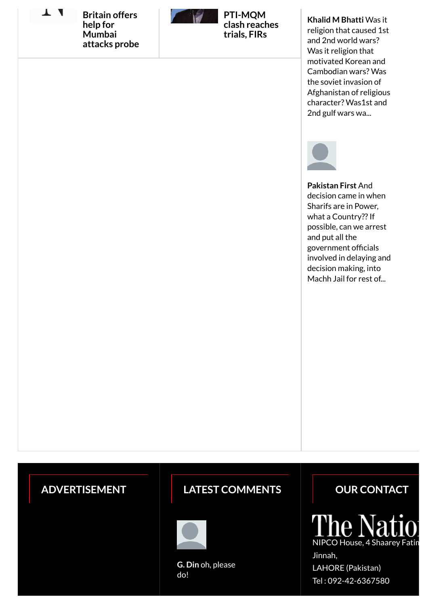T 4

**Britain offers help for Mumbai [attacks probe](http://nation.com.pk/international/27-Nov-2008/Britain-offers-help-for-Mumbai-attacks-probe)**



**PTI-MQM [clash reaches](http://nation.com.pk/politics/15-Jul-2015/pti-mqm-clash-demands-trials-firs) trials, FIRs**

#### **Khalid M Bhatti** Was it

religion that caused 1st and 2nd world wars? Was it religion that motivated Korean and Cambodian wars? Was the soviet invasion of [Afghanistan of religious](http://nation.com.pk/blogs/30-Jul-2015/who-are-atheists-science-religion-and-philosophy-would-have-you-believe-they-re-abnormal) character? Was1st and 2nd gulf wars wa...



**Pakistan First** And decision came in when Sharifs are in Power, what a Country?? If possible, can we arrest and put all the government officials [involved in delaying and](http://nation.com.pk/lahore/04-Aug-2015/sharifs-tax-appeal-allowed-after-19-years) decision making, into Machh Jail for rest of...

## **ADVERTISEMENT**

## LATEST COMMENTS **DESCRIPTION CONTACT**



**G. Din** [oh, please](http://nation.com.pk/editors-picks/03-Aug-2015/pakistan-may-reject-nsas-meeting-due-to-indian-arbitrariness) do!

 $\overline{\text{Na}}$ NIPCO House, 4 Shaarey Fatima Jinnah,

LAHORE (Pakistan) Tel : 092-42-6367580